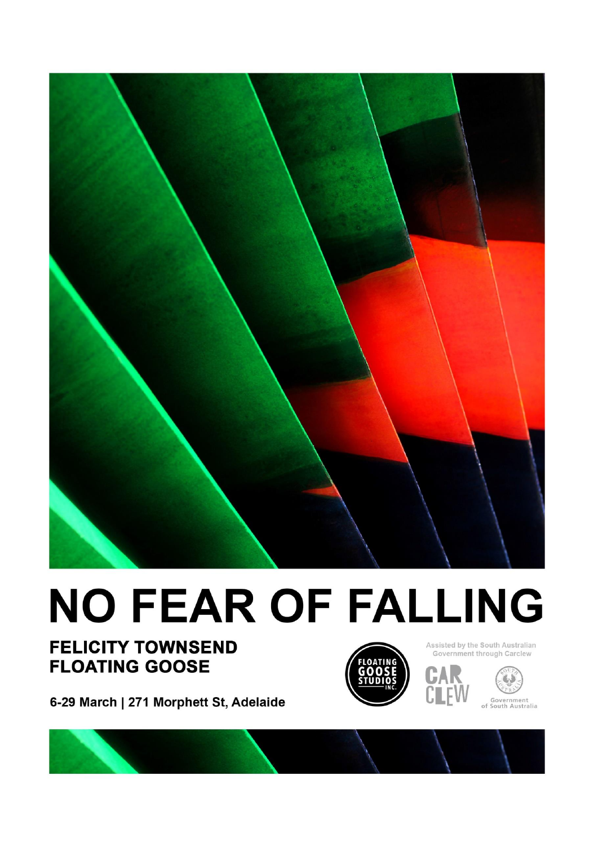

## **NO FEAR OF FALLING**

## **FELICITY TOWNSEND FLOATING GOOSE**



Assisted by the South Australian Government through Carclew



6-29 March | 271 Morphett St, Adelaide

Government<br>of South Australia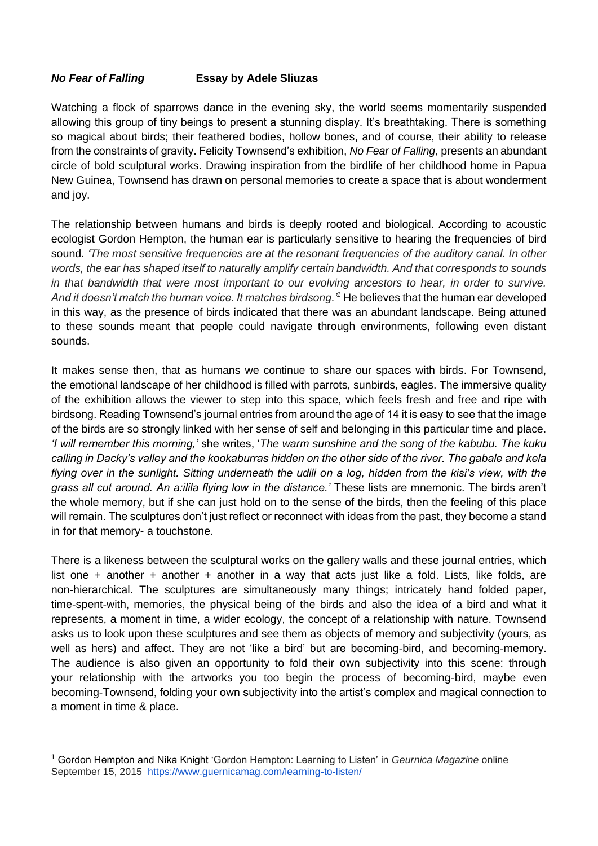## *No Fear of Falling* **Essay by Adele Sliuzas**

Watching a flock of sparrows dance in the evening sky, the world seems momentarily suspended allowing this group of tiny beings to present a stunning display. It's breathtaking. There is something so magical about birds; their feathered bodies, hollow bones, and of course, their ability to release from the constraints of gravity. Felicity Townsend's exhibition, *No Fear of Falling*, presents an abundant circle of bold sculptural works. Drawing inspiration from the birdlife of her childhood home in Papua New Guinea, Townsend has drawn on personal memories to create a space that is about wonderment and joy.

The relationship between humans and birds is deeply rooted and biological. According to acoustic ecologist Gordon Hempton, the human ear is particularly sensitive to hearing the frequencies of bird sound. *'The most sensitive frequencies are at the resonant frequencies of the auditory canal. In other words, the ear has shaped itself to naturally amplify certain bandwidth. And that corresponds to sounds in that bandwidth that were most important to our evolving ancestors to hear, in order to survive. And it doesn't match the human voice. It matches birdsong.'<sup>1</sup>* He believes that the human ear developed in this way, as the presence of birds indicated that there was an abundant landscape. Being attuned to these sounds meant that people could navigate through environments, following even distant sounds.

It makes sense then, that as humans we continue to share our spaces with birds. For Townsend, the emotional landscape of her childhood is filled with parrots, sunbirds, eagles. The immersive quality of the exhibition allows the viewer to step into this space, which feels fresh and free and ripe with birdsong. Reading Townsend's journal entries from around the age of 14 it is easy to see that the image of the birds are so strongly linked with her sense of self and belonging in this particular time and place. *'I will remember this morning,'* she writes, '*The warm sunshine and the song of the kabubu. The kuku calling in Dacky's valley and the kookaburras hidden on the other side of the river. The gabale and kela flying over in the sunlight. Sitting underneath the udili on a log, hidden from the kisi's view, with the grass all cut around. An a:ilila flying low in the distance.'* These lists are mnemonic. The birds aren't the whole memory, but if she can just hold on to the sense of the birds, then the feeling of this place will remain. The sculptures don't just reflect or reconnect with ideas from the past, they become a stand in for that memory- a touchstone.

There is a likeness between the sculptural works on the gallery walls and these journal entries, which list one + another + another + another in a way that acts just like a fold. Lists, like folds, are non-hierarchical. The sculptures are simultaneously many things; intricately hand folded paper, time-spent-with, memories, the physical being of the birds and also the idea of a bird and what it represents, a moment in time, a wider ecology, the concept of a relationship with nature. Townsend asks us to look upon these sculptures and see them as objects of memory and subjectivity (yours, as well as hers) and affect. They are not 'like a bird' but are becoming-bird, and becoming-memory. The audience is also given an opportunity to fold their own subjectivity into this scene: through your relationship with the artworks you too begin the process of becoming-bird, maybe even becoming-Townsend, folding your own subjectivity into the artist's complex and magical connection to a moment in time & place.

<sup>1</sup> Gordon Hempton and Nika Knight 'Gordon Hempton: Learning to Listen' in *Geurnica Magazine* online September 15, 2015 [https://www.guernicamag.com/learning-to-listen/](about:blank)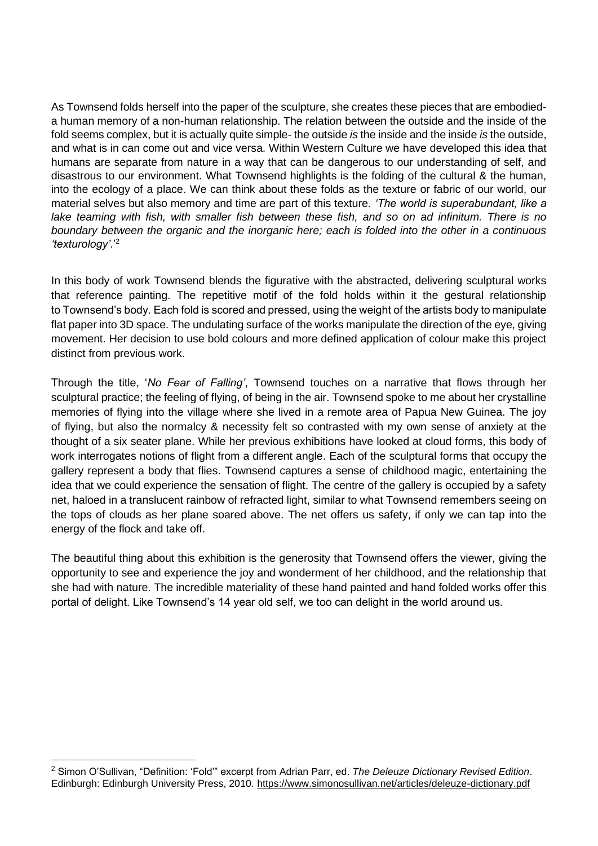As Townsend folds herself into the paper of the sculpture, she creates these pieces that are embodieda human memory of a non-human relationship. The relation between the outside and the inside of the fold seems complex, but it is actually quite simple- the outside *is* the inside and the inside *is* the outside, and what is in can come out and vice versa. Within Western Culture we have developed this idea that humans are separate from nature in a way that can be dangerous to our understanding of self, and disastrous to our environment. What Townsend highlights is the folding of the cultural & the human, into the ecology of a place. We can think about these folds as the texture or fabric of our world, our material selves but also memory and time are part of this texture. *'The world is superabundant, like a lake teaming with fish, with smaller fish between these fish, and so on ad infinitum. There is no boundary between the organic and the inorganic here; each is folded into the other in a continuous 'texturology'.*' 2

In this body of work Townsend blends the figurative with the abstracted, delivering sculptural works that reference painting. The repetitive motif of the fold holds within it the gestural relationship to Townsend's body. Each fold is scored and pressed, using the weight of the artists body to manipulate flat paper into 3D space. The undulating surface of the works manipulate the direction of the eye, giving movement. Her decision to use bold colours and more defined application of colour make this project distinct from previous work.

Through the title, '*No Fear of Falling'*, Townsend touches on a narrative that flows through her sculptural practice; the feeling of flying, of being in the air. Townsend spoke to me about her crystalline memories of flying into the village where she lived in a remote area of Papua New Guinea. The joy of flying, but also the normalcy & necessity felt so contrasted with my own sense of anxiety at the thought of a six seater plane. While her previous exhibitions have looked at cloud forms, this body of work interrogates notions of flight from a different angle. Each of the sculptural forms that occupy the gallery represent a body that flies. Townsend captures a sense of childhood magic, entertaining the idea that we could experience the sensation of flight. The centre of the gallery is occupied by a safety net, haloed in a translucent rainbow of refracted light, similar to what Townsend remembers seeing on the tops of clouds as her plane soared above. The net offers us safety, if only we can tap into the energy of the flock and take off.

The beautiful thing about this exhibition is the generosity that Townsend offers the viewer, giving the opportunity to see and experience the joy and wonderment of her childhood, and the relationship that she had with nature. The incredible materiality of these hand painted and hand folded works offer this portal of delight. Like Townsend's 14 year old self, we too can delight in the world around us.

<sup>2</sup> Simon O'Sullivan, "Definition: 'Fold'" excerpt from Adrian Parr, ed. *The Deleuze Dictionary Revised Edition*. Edinburgh: Edinburgh University Press, 2010. [https://www.simonosullivan.net/articles/deleuze-dictionary.pdf](about:blank)